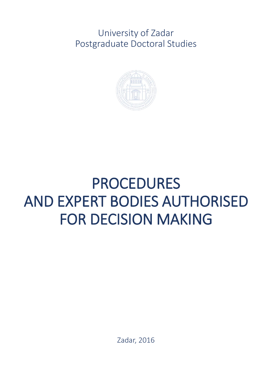University of Zadar Postgraduate Doctoral Studies



# PROCEDURES AND EXPERT BODIES AUTHORISED FOR DECISION MAKING

Zadar, 2016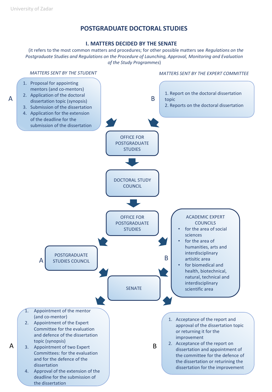## **POSTGRADUATE DOCTORAL STUDIES**

#### **I. MATTERS DECIDED BY THE SENATE**

(it refers to the most common matters and procedures; for other possible matters see *Regulations on the Postgraduate Studies and Regulations on the Procedure of Launching, Approval, Monitoring and Evaluation of the Study Programmes*)

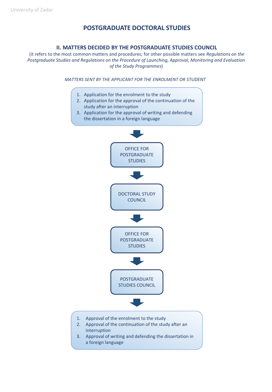## **POSTGRADUATE DOCTORAL STUDIES**

#### **II. MATTERS DECIDED BY THE POSTGRADUATE STUDIES COUNCIL**

(it refers to the most common matters and procedures; for other possible matters see *Regulations on the Postgraduate Studies and Regulations on the Procedure of Launching, Approval, Monitoring and Evaluation of the Study Programmes*)

*MATTERS SENT BY THE APPLICANT FOR THE ENROLMENT OR STUDENT*